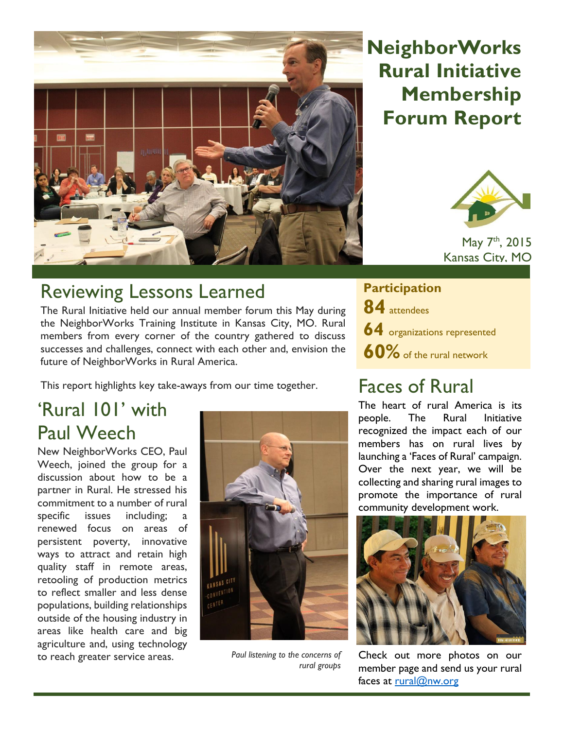

## **NeighborWorks Rural Initiative Membership Forum Report**



May 7<sup>th</sup>, 2015 Kansas City, MO

#### Reviewing Lessons Learned

The Rural Initiative held our annual member forum this May during the NeighborWorks Training Institute in Kansas City, MO. Rural members from every corner of the country gathered to discuss successes and challenges, connect with each other and, envision the future of NeighborWorks in Rural America.

This report highlights key take-aways from our time together.

### 'Rural 101' with Paul Weech

New NeighborWorks CEO, Paul Weech, joined the group for a discussion about how to be a partner in Rural. He stressed his commitment to a number of rural specific issues including: renewed focus on areas of persistent poverty, innovative ways to attract and retain high quality staff in remote areas, retooling of production metrics to reflect smaller and less dense populations, building relationships outside of the housing industry in areas like health care and big agriculture and, using technology to reach greater service areas.



*Paul listening to the concerns of rural groups* 

**Participation 84** attendees **64** organizations represented **60%** of the rural network

### Faces of Rural

The heart of rural America is its people. The Rural Initiative recognized the impact each of our members has on rural lives by launching a 'Faces of Rural' campaign. Over the next year, we will be collecting and sharing rural images to promote the importance of rural community development work.



Check out more photos on our member page and send us your rural faces at [rural@nw.org](mailto:rural@nw.org)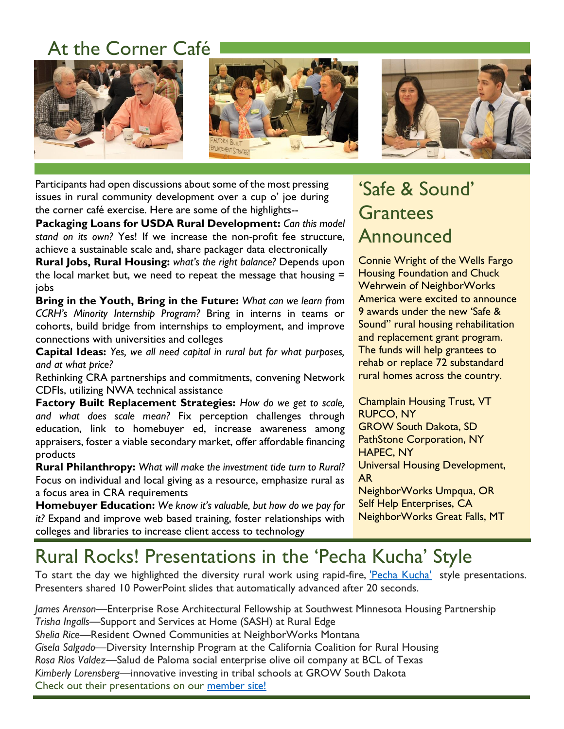### At the Corner Café



Participants had open discussions about some of the most pressing issues in rural community development over a cup o' joe during the corner café exercise. Here are some of the highlights--

**Packaging Loans for USDA Rural Development:** *Can this model stand on its own?* Yes! If we increase the non-profit fee structure, achieve a sustainable scale and, share packager data electronically

**Rural Jobs, Rural Housing:** *what's the right balance?* Depends upon the local market but, we need to repeat the message that housing  $=$ jobs

**Bring in the Youth, Bring in the Future:** *What can we learn from CCRH's Minority Internship Program?* Bring in interns in teams or cohorts, build bridge from internships to employment, and improve connections with universities and colleges

**Capital Ideas:** *Yes, we all need capital in rural but for what purposes, and at what price?*

Rethinking CRA partnerships and commitments, convening Network CDFIs, utilizing NWA technical assistance

**Factory Built Replacement Strategies:** *How do we get to scale, and what does scale mean?* Fix perception challenges through education, link to homebuyer ed, increase awareness among appraisers, foster a viable secondary market, offer affordable financing products

**Rural Philanthropy:** *What will make the investment tide turn to Rural?* Focus on individual and local giving as a resource, emphasize rural as a focus area in CRA requirements

**Homebuyer Education:** *We know it's valuable, but how do we pay for it?* Expand and improve web based training, foster relationships with colleges and libraries to increase client access to technology

### 'Safe & Sound' Grantees Announced

Connie Wright of the Wells Fargo Housing Foundation and Chuck Wehrwein of NeighborWorks America were excited to announce 9 awards under the new 'Safe & Sound" rural housing rehabilitation and replacement grant program. The funds will help grantees to rehab or replace 72 substandard rural homes across the country.

Champlain Housing Trust, VT RUPCO, NY GROW South Dakota, SD PathStone Corporation, NY HAPEC, NY Universal Housing Development, AR NeighborWorks Umpqua, OR Self Help Enterprises, CA NeighborWorks Great Falls, MT

### Rural Rocks! Presentations in the 'Pecha Kucha' Style

To start the day we highlighted the diversity rural work using rapid-fire, ['Pecha Kucha'](http://www.pechakucha.org/watch) style presentations. Presenters shared 10 PowerPoint slides that automatically advanced after 20 seconds.

*James Arenson*—Enterprise Rose Architectural Fellowship at Southwest Minnesota Housing Partnership *Trisha Ingalls*—Support and Services at Home (SASH) at Rural Edge *Shelia Rice*—Resident Owned Communities at NeighborWorks Montana *Gisela Salgado*—Diversity Internship Program at the California Coalition for Rural Housing *Rosa Rios Valdez*—Salud de Paloma social enterprise olive oil company at BCL of Texas *Kimberly Lorensberg*—innovative investing in tribal schools at GROW South Dakota Check out their presentations on our [member site!](https://member.nw.org/programs/rural/Pages/default.aspx)